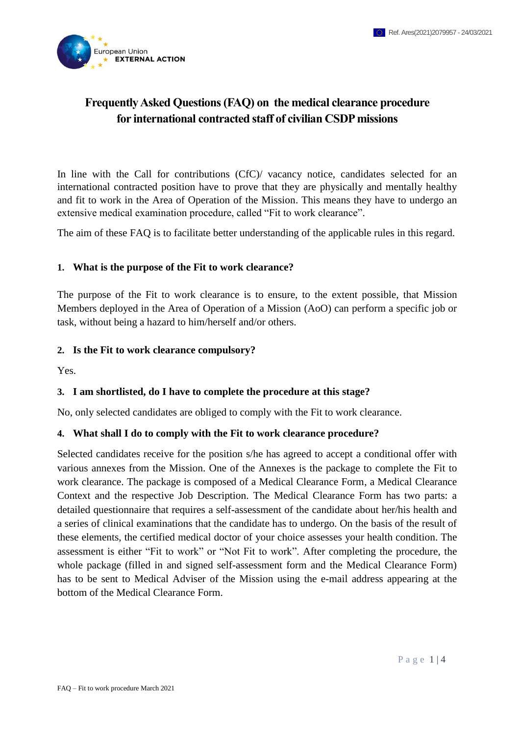

# **Frequently Asked Questions (FAQ) on the medical clearance procedure for international contracted staff of civilian CSDP missions**

In line with the Call for contributions (CfC)/ vacancy notice, candidates selected for an international contracted position have to prove that they are physically and mentally healthy and fit to work in the Area of Operation of the Mission. This means they have to undergo an extensive medical examination procedure, called "Fit to work clearance".

The aim of these FAQ is to facilitate better understanding of the applicable rules in this regard.

#### **1. What is the purpose of the Fit to work clearance?**

The purpose of the Fit to work clearance is to ensure, to the extent possible, that Mission Members deployed in the Area of Operation of a Mission (AoO) can perform a specific job or task, without being a hazard to him/herself and/or others.

#### **2. Is the Fit to work clearance compulsory?**

Yes.

#### **3. I am shortlisted, do I have to complete the procedure at this stage?**

No, only selected candidates are obliged to comply with the Fit to work clearance.

#### **4. What shall I do to comply with the Fit to work clearance procedure?**

Selected candidates receive for the position s/he has agreed to accept a conditional offer with various annexes from the Mission. One of the Annexes is the package to complete the Fit to work clearance. The package is composed of a Medical Clearance Form, a Medical Clearance Context and the respective Job Description. The Medical Clearance Form has two parts: a detailed questionnaire that requires a self-assessment of the candidate about her/his health and a series of clinical examinations that the candidate has to undergo. On the basis of the result of these elements, the certified medical doctor of your choice assesses your health condition. The assessment is either "Fit to work" or "Not Fit to work". After completing the procedure, the whole package (filled in and signed self-assessment form and the Medical Clearance Form) has to be sent to Medical Adviser of the Mission using the e-mail address appearing at the bottom of the Medical Clearance Form.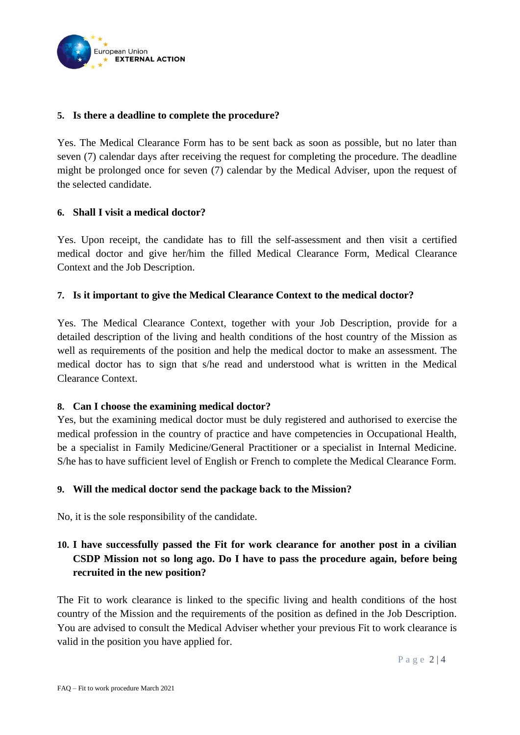

### **5. Is there a deadline to complete the procedure?**

Yes. The Medical Clearance Form has to be sent back as soon as possible, but no later than seven (7) calendar days after receiving the request for completing the procedure. The deadline might be prolonged once for seven (7) calendar by the Medical Adviser, upon the request of the selected candidate.

### **6. Shall I visit a medical doctor?**

Yes. Upon receipt, the candidate has to fill the self-assessment and then visit a certified medical doctor and give her/him the filled Medical Clearance Form, Medical Clearance Context and the Job Description.

### **7. Is it important to give the Medical Clearance Context to the medical doctor?**

Yes. The Medical Clearance Context, together with your Job Description, provide for a detailed description of the living and health conditions of the host country of the Mission as well as requirements of the position and help the medical doctor to make an assessment. The medical doctor has to sign that s/he read and understood what is written in the Medical Clearance Context.

### **8. Can I choose the examining medical doctor?**

Yes, but the examining medical doctor must be duly registered and authorised to exercise the medical profession in the country of practice and have competencies in Occupational Health, be a specialist in Family Medicine/General Practitioner or a specialist in Internal Medicine. S/he has to have sufficient level of English or French to complete the Medical Clearance Form.

### **9. Will the medical doctor send the package back to the Mission?**

No, it is the sole responsibility of the candidate.

# **10. I have successfully passed the Fit for work clearance for another post in a civilian CSDP Mission not so long ago. Do I have to pass the procedure again, before being recruited in the new position?**

The Fit to work clearance is linked to the specific living and health conditions of the host country of the Mission and the requirements of the position as defined in the Job Description. You are advised to consult the Medical Adviser whether your previous Fit to work clearance is valid in the position you have applied for.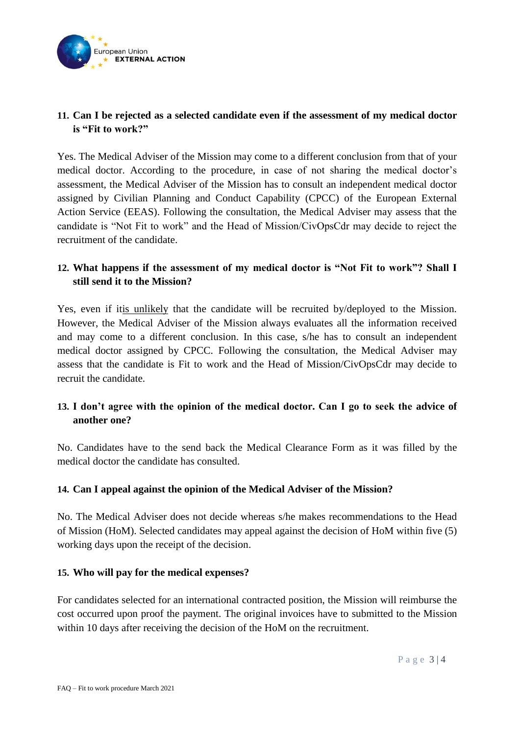

# **11. Can I be rejected as a selected candidate even if the assessment of my medical doctor is "Fit to work?"**

Yes. The Medical Adviser of the Mission may come to a different conclusion from that of your medical doctor. According to the procedure, in case of not sharing the medical doctor's assessment, the Medical Adviser of the Mission has to consult an independent medical doctor assigned by Civilian Planning and Conduct Capability (CPCC) of the European External Action Service (EEAS). Following the consultation, the Medical Adviser may assess that the candidate is "Not Fit to work" and the Head of Mission/CivOpsCdr may decide to reject the recruitment of the candidate.

# **12. What happens if the assessment of my medical doctor is "Not Fit to work"? Shall I still send it to the Mission?**

Yes, even if itis unlikely that the candidate will be recruited by/deployed to the Mission. However, the Medical Adviser of the Mission always evaluates all the information received and may come to a different conclusion. In this case, s/he has to consult an independent medical doctor assigned by CPCC. Following the consultation, the Medical Adviser may assess that the candidate is Fit to work and the Head of Mission/CivOpsCdr may decide to recruit the candidate.

# **13. I don't agree with the opinion of the medical doctor. Can I go to seek the advice of another one?**

No. Candidates have to the send back the Medical Clearance Form as it was filled by the medical doctor the candidate has consulted.

### **14. Can I appeal against the opinion of the Medical Adviser of the Mission?**

No. The Medical Adviser does not decide whereas s/he makes recommendations to the Head of Mission (HoM). Selected candidates may appeal against the decision of HoM within five (5) working days upon the receipt of the decision.

### **15. Who will pay for the medical expenses?**

For candidates selected for an international contracted position, the Mission will reimburse the cost occurred upon proof the payment. The original invoices have to submitted to the Mission within 10 days after receiving the decision of the HoM on the recruitment.